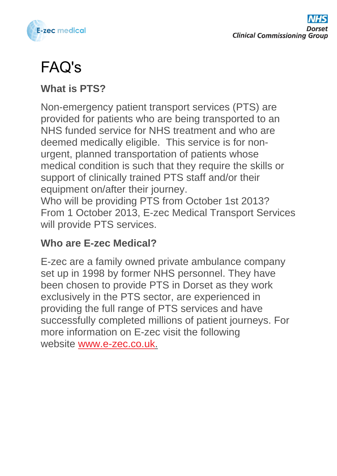

# FAQ's

### **What is PTS?**

Non-emergency patient transport services (PTS) are provided for patients who are being transported to an NHS funded service for NHS treatment and who are deemed medically eligible. This service is for nonurgent, planned transportation of patients whose medical condition is such that they require the skills or support of clinically trained PTS staff and/or their equipment on/after their journey.

Who will be providing PTS from October 1st 2013? From 1 October 2013, E-zec Medical Transport Services will provide PTS services.

#### **Who are E-zec Medical?**

E-zec are a family owned private ambulance company set up in 1998 by former NHS personnel. They have been chosen to provide PTS in Dorset as they work exclusively in the PTS sector, are experienced in providing the full range of PTS services and have successfully completed millions of patient journeys. For more information on E-zec visit the following website www.e-zec.co.uk.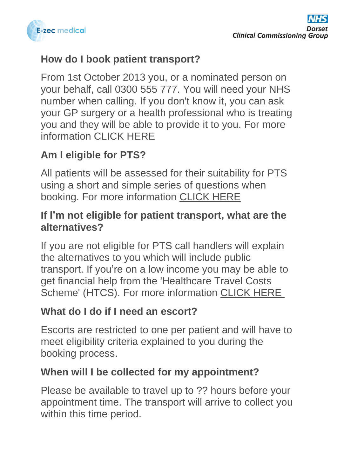

### **How do I book patient transport?**

From 1st October 2013 you, or a nominated person on your behalf, call 0300 555 777. You will need your NHS number when calling. If you don't know it, you can ask your GP surgery or a health professional who is treating you and they will be able to provide it to you. For more information CLICK HERE

# **Am I eligible for PTS?**

All patients will be assessed for their suitability for PTS using a short and simple series of questions when booking. For more information CLICK HERE

### **If I'm not eligible for patient transport, what are the alternatives?**

If you are not eligible for PTS call handlers will explain the alternatives to you which will include public transport. If you're on a low income you may be able to get financial help from the 'Healthcare Travel Costs Scheme' (HTCS). For more information CLICK HERE

# **What do I do if I need an escort?**

Escorts are restricted to one per patient and will have to meet eligibility criteria explained to you during the booking process.

# **When will I be collected for my appointment?**

Please be available to travel up to ?? hours before your appointment time. The transport will arrive to collect you within this time period.